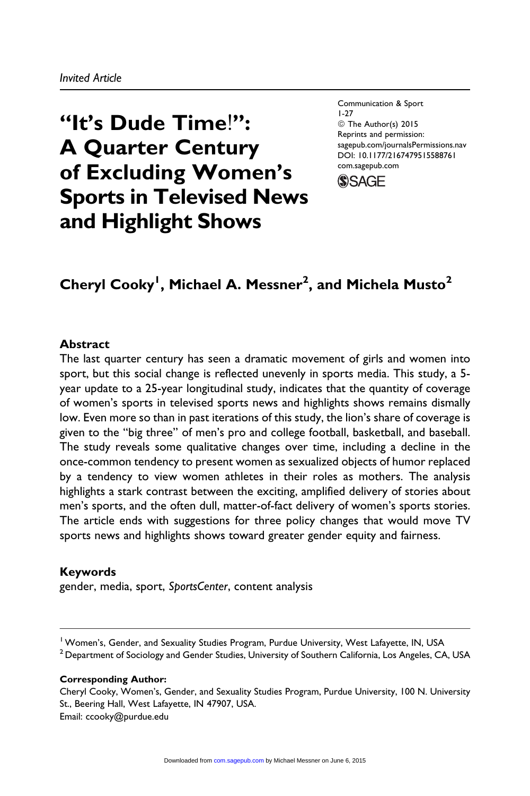# ''It's Dude Time!'': A Quarter Century of Excluding Women's Sports in Televised News and Highlight Shows

Communication & Sport 1-27 © The Author(s) 2015 Reprints and permission: [sagepub.com/journalsPermissions.nav](http://www.sagepub.com/journalsPermissions.nav) DOI: 10.1177/2167479515588761 [com.sagepub.com](http://com.sagepub.com)



## Cheryl Cooky<sup>1</sup>, Michael A. Messner<sup>2</sup>, and Michela Musto<sup>2</sup>

#### Abstract

The last quarter century has seen a dramatic movement of girls and women into sport, but this social change is reflected unevenly in sports media. This study, a 5 year update to a 25-year longitudinal study, indicates that the quantity of coverage of women's sports in televised sports news and highlights shows remains dismally low. Even more so than in past iterations of this study, the lion's share of coverage is given to the ''big three'' of men's pro and college football, basketball, and baseball. The study reveals some qualitative changes over time, including a decline in the once-common tendency to present women as sexualized objects of humor replaced by a tendency to view women athletes in their roles as mothers. The analysis highlights a stark contrast between the exciting, amplified delivery of stories about men's sports, and the often dull, matter-of-fact delivery of women's sports stories. The article ends with suggestions for three policy changes that would move TV sports news and highlights shows toward greater gender equity and fairness.

#### Keywords

gender, media, sport, SportsCenter, content analysis

<sup>1</sup> Women's, Gender, and Sexuality Studies Program, Purdue University, West Lafayette, IN, USA

 $^2$  Department of Sociology and Gender Studies, University of Southern California, Los Angeles, CA, USA

#### Corresponding Author:

Cheryl Cooky, Women's, Gender, and Sexuality Studies Program, Purdue University, 100 N. University St., Beering Hall, West Lafayette, IN 47907, USA. Email: ccooky@purdue.edu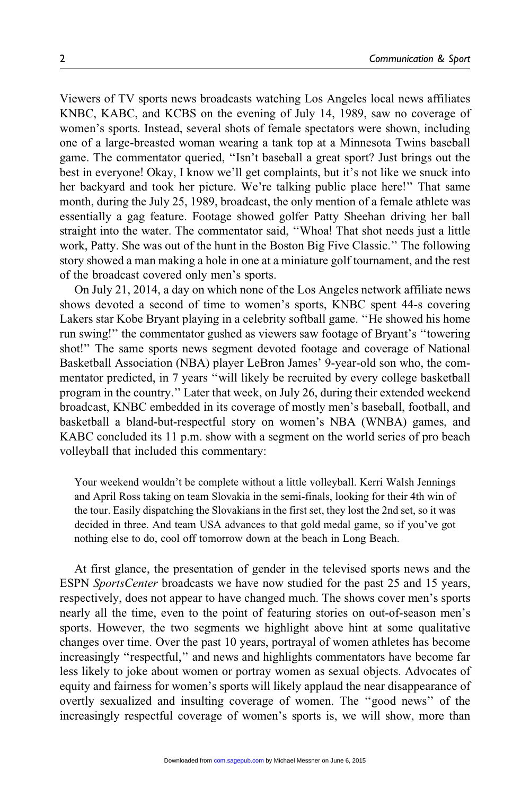Viewers of TV sports news broadcasts watching Los Angeles local news affiliates KNBC, KABC, and KCBS on the evening of July 14, 1989, saw no coverage of women's sports. Instead, several shots of female spectators were shown, including one of a large-breasted woman wearing a tank top at a Minnesota Twins baseball game. The commentator queried, ''Isn't baseball a great sport? Just brings out the best in everyone! Okay, I know we'll get complaints, but it's not like we snuck into her backyard and took her picture. We're talking public place here!'' That same month, during the July 25, 1989, broadcast, the only mention of a female athlete was essentially a gag feature. Footage showed golfer Patty Sheehan driving her ball straight into the water. The commentator said, ''Whoa! That shot needs just a little work, Patty. She was out of the hunt in the Boston Big Five Classic.'' The following story showed a man making a hole in one at a miniature golf tournament, and the rest of the broadcast covered only men's sports.

On July 21, 2014, a day on which none of the Los Angeles network affiliate news shows devoted a second of time to women's sports, KNBC spent 44-s covering Lakers star Kobe Bryant playing in a celebrity softball game. ''He showed his home run swing!'' the commentator gushed as viewers saw footage of Bryant's ''towering shot!'' The same sports news segment devoted footage and coverage of National Basketball Association (NBA) player LeBron James' 9-year-old son who, the commentator predicted, in 7 years ''will likely be recruited by every college basketball program in the country.'' Later that week, on July 26, during their extended weekend broadcast, KNBC embedded in its coverage of mostly men's baseball, football, and basketball a bland-but-respectful story on women's NBA (WNBA) games, and KABC concluded its 11 p.m. show with a segment on the world series of pro beach volleyball that included this commentary:

Your weekend wouldn't be complete without a little volleyball. Kerri Walsh Jennings and April Ross taking on team Slovakia in the semi-finals, looking for their 4th win of the tour. Easily dispatching the Slovakians in the first set, they lost the 2nd set, so it was decided in three. And team USA advances to that gold medal game, so if you've got nothing else to do, cool off tomorrow down at the beach in Long Beach.

At first glance, the presentation of gender in the televised sports news and the ESPN SportsCenter broadcasts we have now studied for the past 25 and 15 years, respectively, does not appear to have changed much. The shows cover men's sports nearly all the time, even to the point of featuring stories on out-of-season men's sports. However, the two segments we highlight above hint at some qualitative changes over time. Over the past 10 years, portrayal of women athletes has become increasingly "respectful," and news and highlights commentators have become far less likely to joke about women or portray women as sexual objects. Advocates of equity and fairness for women's sports will likely applaud the near disappearance of overtly sexualized and insulting coverage of women. The ''good news'' of the increasingly respectful coverage of women's sports is, we will show, more than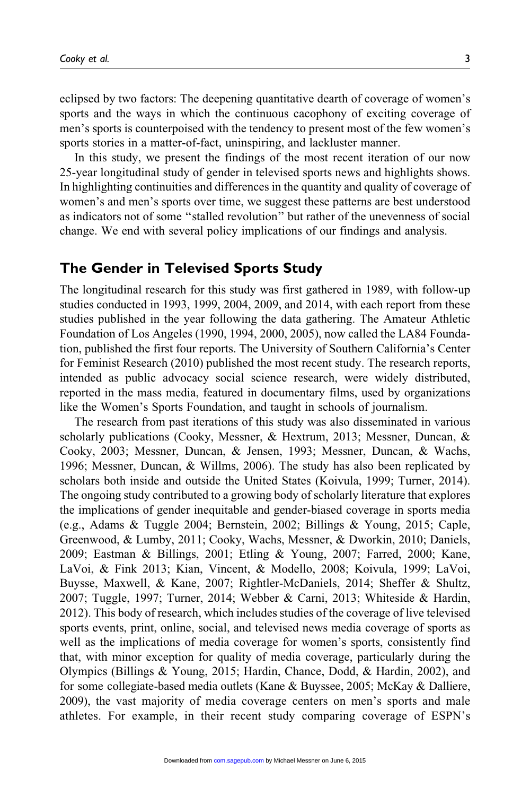eclipsed by two factors: The deepening quantitative dearth of coverage of women's sports and the ways in which the continuous cacophony of exciting coverage of men's sports is counterpoised with the tendency to present most of the few women's sports stories in a matter-of-fact, uninspiring, and lackluster manner.

In this study, we present the findings of the most recent iteration of our now 25-year longitudinal study of gender in televised sports news and highlights shows. In highlighting continuities and differences in the quantity and quality of coverage of women's and men's sports over time, we suggest these patterns are best understood as indicators not of some ''stalled revolution'' but rather of the unevenness of social change. We end with several policy implications of our findings and analysis.

#### The Gender in Televised Sports Study

The longitudinal research for this study was first gathered in 1989, with follow-up studies conducted in 1993, 1999, 2004, 2009, and 2014, with each report from these studies published in the year following the data gathering. The Amateur Athletic Foundation of Los Angeles (1990, 1994, 2000, 2005), now called the LA84 Foundation, published the first four reports. The University of Southern California's Center for Feminist Research (2010) published the most recent study. The research reports, intended as public advocacy social science research, were widely distributed, reported in the mass media, featured in documentary films, used by organizations like the Women's Sports Foundation, and taught in schools of journalism.

The research from past iterations of this study was also disseminated in various scholarly publications (Cooky, Messner, & Hextrum, 2013; Messner, Duncan, & Cooky, 2003; Messner, Duncan, & Jensen, 1993; Messner, Duncan, & Wachs, 1996; Messner, Duncan, & Willms, 2006). The study has also been replicated by scholars both inside and outside the United States (Koivula, 1999; Turner, 2014). The ongoing study contributed to a growing body of scholarly literature that explores the implications of gender inequitable and gender-biased coverage in sports media (e.g., Adams & Tuggle 2004; Bernstein, 2002; Billings & Young, 2015; Caple, Greenwood, & Lumby, 2011; Cooky, Wachs, Messner, & Dworkin, 2010; Daniels, 2009; Eastman & Billings, 2001; Etling & Young, 2007; Farred, 2000; Kane, LaVoi, & Fink 2013; Kian, Vincent, & Modello, 2008; Koivula, 1999; LaVoi, Buysse, Maxwell, & Kane, 2007; Rightler-McDaniels, 2014; Sheffer & Shultz, 2007; Tuggle, 1997; Turner, 2014; Webber & Carni, 2013; Whiteside & Hardin, 2012). This body of research, which includes studies of the coverage of live televised sports events, print, online, social, and televised news media coverage of sports as well as the implications of media coverage for women's sports, consistently find that, with minor exception for quality of media coverage, particularly during the Olympics (Billings & Young, 2015; Hardin, Chance, Dodd, & Hardin, 2002), and for some collegiate-based media outlets (Kane & Buyssee, 2005; McKay & Dalliere, 2009), the vast majority of media coverage centers on men's sports and male athletes. For example, in their recent study comparing coverage of ESPN's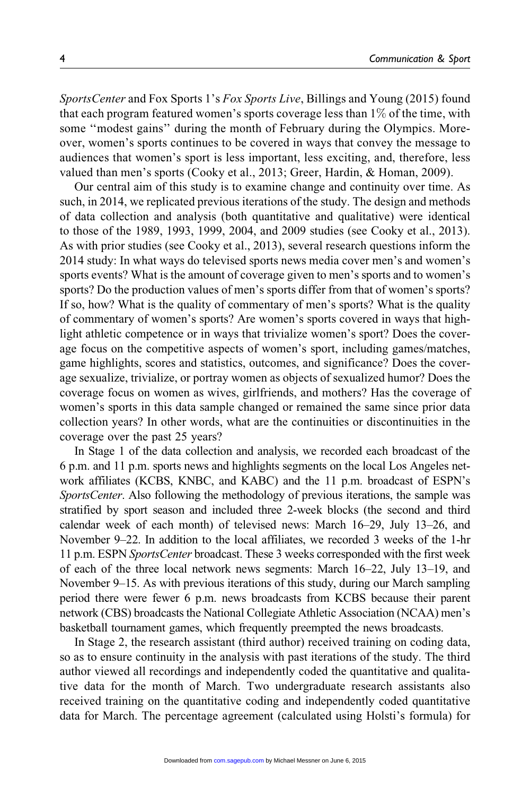SportsCenter and Fox Sports 1's Fox Sports Live, Billings and Young (2015) found that each program featured women's sports coverage less than  $1\%$  of the time, with some ''modest gains'' during the month of February during the Olympics. Moreover, women's sports continues to be covered in ways that convey the message to audiences that women's sport is less important, less exciting, and, therefore, less valued than men's sports (Cooky et al., 2013; Greer, Hardin, & Homan, 2009).

Our central aim of this study is to examine change and continuity over time. As such, in 2014, we replicated previous iterations of the study. The design and methods of data collection and analysis (both quantitative and qualitative) were identical to those of the 1989, 1993, 1999, 2004, and 2009 studies (see Cooky et al., 2013). As with prior studies (see Cooky et al., 2013), several research questions inform the 2014 study: In what ways do televised sports news media cover men's and women's sports events? What is the amount of coverage given to men's sports and to women's sports? Do the production values of men's sports differ from that of women's sports? If so, how? What is the quality of commentary of men's sports? What is the quality of commentary of women's sports? Are women's sports covered in ways that highlight athletic competence or in ways that trivialize women's sport? Does the coverage focus on the competitive aspects of women's sport, including games/matches, game highlights, scores and statistics, outcomes, and significance? Does the coverage sexualize, trivialize, or portray women as objects of sexualized humor? Does the coverage focus on women as wives, girlfriends, and mothers? Has the coverage of women's sports in this data sample changed or remained the same since prior data collection years? In other words, what are the continuities or discontinuities in the coverage over the past 25 years?

In Stage 1 of the data collection and analysis, we recorded each broadcast of the 6 p.m. and 11 p.m. sports news and highlights segments on the local Los Angeles network affiliates (KCBS, KNBC, and KABC) and the 11 p.m. broadcast of ESPN's SportsCenter. Also following the methodology of previous iterations, the sample was stratified by sport season and included three 2-week blocks (the second and third calendar week of each month) of televised news: March 16–29, July 13–26, and November 9–22. In addition to the local affiliates, we recorded 3 weeks of the 1-hr 11 p.m. ESPN SportsCenter broadcast. These 3 weeks corresponded with the first week of each of the three local network news segments: March 16–22, July 13–19, and November 9–15. As with previous iterations of this study, during our March sampling period there were fewer 6 p.m. news broadcasts from KCBS because their parent network (CBS) broadcasts the National Collegiate Athletic Association (NCAA) men's basketball tournament games, which frequently preempted the news broadcasts.

In Stage 2, the research assistant (third author) received training on coding data, so as to ensure continuity in the analysis with past iterations of the study. The third author viewed all recordings and independently coded the quantitative and qualitative data for the month of March. Two undergraduate research assistants also received training on the quantitative coding and independently coded quantitative data for March. The percentage agreement (calculated using Holsti's formula) for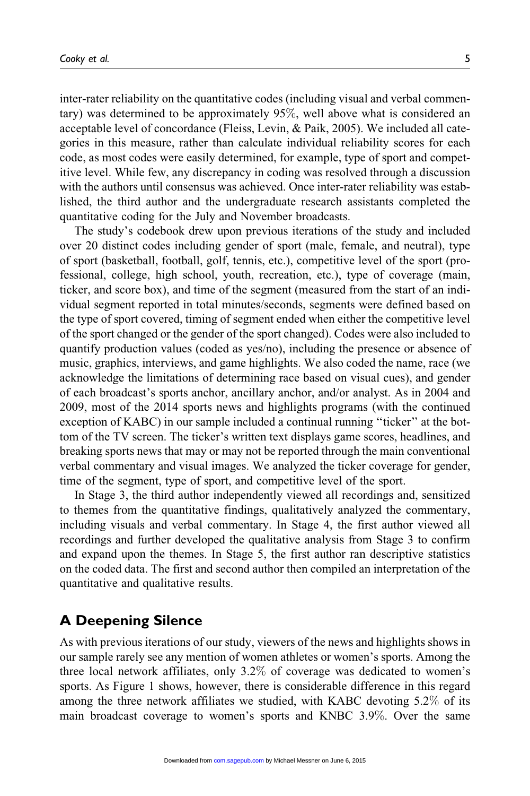inter-rater reliability on the quantitative codes (including visual and verbal commentary) was determined to be approximately 95%, well above what is considered an acceptable level of concordance (Fleiss, Levin, & Paik, 2005). We included all categories in this measure, rather than calculate individual reliability scores for each code, as most codes were easily determined, for example, type of sport and competitive level. While few, any discrepancy in coding was resolved through a discussion with the authors until consensus was achieved. Once inter-rater reliability was established, the third author and the undergraduate research assistants completed the quantitative coding for the July and November broadcasts.

The study's codebook drew upon previous iterations of the study and included over 20 distinct codes including gender of sport (male, female, and neutral), type of sport (basketball, football, golf, tennis, etc.), competitive level of the sport (professional, college, high school, youth, recreation, etc.), type of coverage (main, ticker, and score box), and time of the segment (measured from the start of an individual segment reported in total minutes/seconds, segments were defined based on the type of sport covered, timing of segment ended when either the competitive level of the sport changed or the gender of the sport changed). Codes were also included to quantify production values (coded as yes/no), including the presence or absence of music, graphics, interviews, and game highlights. We also coded the name, race (we acknowledge the limitations of determining race based on visual cues), and gender of each broadcast's sports anchor, ancillary anchor, and/or analyst. As in 2004 and 2009, most of the 2014 sports news and highlights programs (with the continued exception of KABC) in our sample included a continual running ''ticker'' at the bottom of the TV screen. The ticker's written text displays game scores, headlines, and breaking sports news that may or may not be reported through the main conventional verbal commentary and visual images. We analyzed the ticker coverage for gender, time of the segment, type of sport, and competitive level of the sport.

In Stage 3, the third author independently viewed all recordings and, sensitized to themes from the quantitative findings, qualitatively analyzed the commentary, including visuals and verbal commentary. In Stage 4, the first author viewed all recordings and further developed the qualitative analysis from Stage 3 to confirm and expand upon the themes. In Stage 5, the first author ran descriptive statistics on the coded data. The first and second author then compiled an interpretation of the quantitative and qualitative results.

### A Deepening Silence

As with previous iterations of our study, viewers of the news and highlights shows in our sample rarely see any mention of women athletes or women's sports. Among the three local network affiliates, only 3.2% of coverage was dedicated to women's sports. As Figure 1 shows, however, there is considerable difference in this regard among the three network affiliates we studied, with KABC devoting 5.2% of its main broadcast coverage to women's sports and KNBC 3.9%. Over the same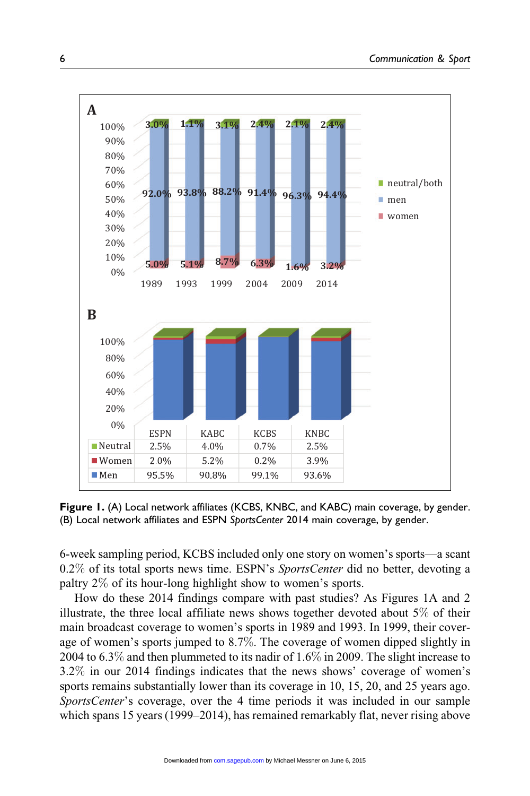

Figure 1. (A) Local network affiliates (KCBS, KNBC, and KABC) main coverage, by gender. (B) Local network affiliates and ESPN SportsCenter 2014 main coverage, by gender.

6-week sampling period, KCBS included only one story on women's sports—a scant 0.2% of its total sports news time. ESPN's SportsCenter did no better, devoting a paltry 2% of its hour-long highlight show to women's sports.

How do these 2014 findings compare with past studies? As Figures 1A and 2 illustrate, the three local affiliate news shows together devoted about 5% of their main broadcast coverage to women's sports in 1989 and 1993. In 1999, their coverage of women's sports jumped to 8.7%. The coverage of women dipped slightly in 2004 to 6.3% and then plummeted to its nadir of 1.6% in 2009. The slight increase to 3.2% in our 2014 findings indicates that the news shows' coverage of women's sports remains substantially lower than its coverage in 10, 15, 20, and 25 years ago. SportsCenter's coverage, over the 4 time periods it was included in our sample which spans 15 years (1999–2014), has remained remarkably flat, never rising above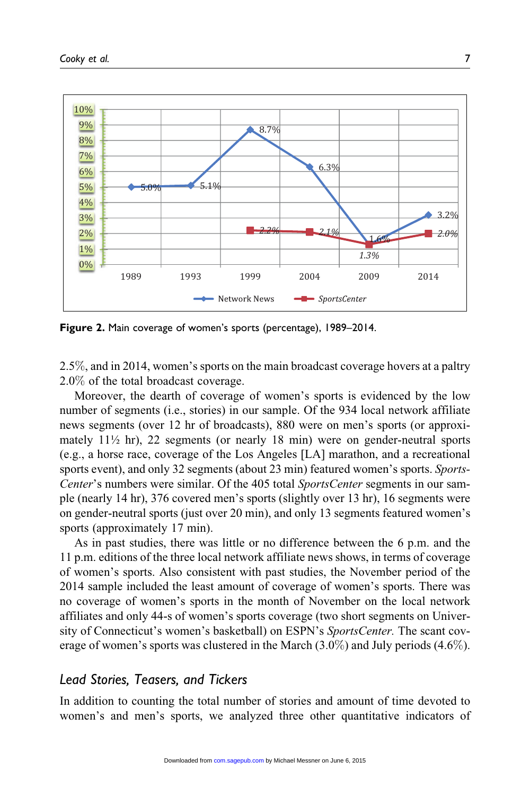

Figure 2. Main coverage of women's sports (percentage), 1989–2014.

2.5%, and in 2014, women's sports on the main broadcast coverage hovers at a paltry 2.0% of the total broadcast coverage.

Moreover, the dearth of coverage of women's sports is evidenced by the low number of segments (i.e., stories) in our sample. Of the 934 local network affiliate news segments (over 12 hr of broadcasts), 880 were on men's sports (or approximately  $11\frac{1}{2}$  hr), 22 segments (or nearly 18 min) were on gender-neutral sports (e.g., a horse race, coverage of the Los Angeles [LA] marathon, and a recreational sports event), and only 32 segments (about 23 min) featured women's sports. Sports-Center's numbers were similar. Of the 405 total SportsCenter segments in our sample (nearly 14 hr), 376 covered men's sports (slightly over 13 hr), 16 segments were on gender-neutral sports (just over 20 min), and only 13 segments featured women's sports (approximately 17 min).

As in past studies, there was little or no difference between the 6 p.m. and the 11 p.m. editions of the three local network affiliate news shows, in terms of coverage of women's sports. Also consistent with past studies, the November period of the 2014 sample included the least amount of coverage of women's sports. There was no coverage of women's sports in the month of November on the local network affiliates and only 44-s of women's sports coverage (two short segments on University of Connecticut's women's basketball) on ESPN's SportsCenter. The scant coverage of women's sports was clustered in the March (3.0%) and July periods (4.6%).

#### Lead Stories, Teasers, and Tickers

In addition to counting the total number of stories and amount of time devoted to women's and men's sports, we analyzed three other quantitative indicators of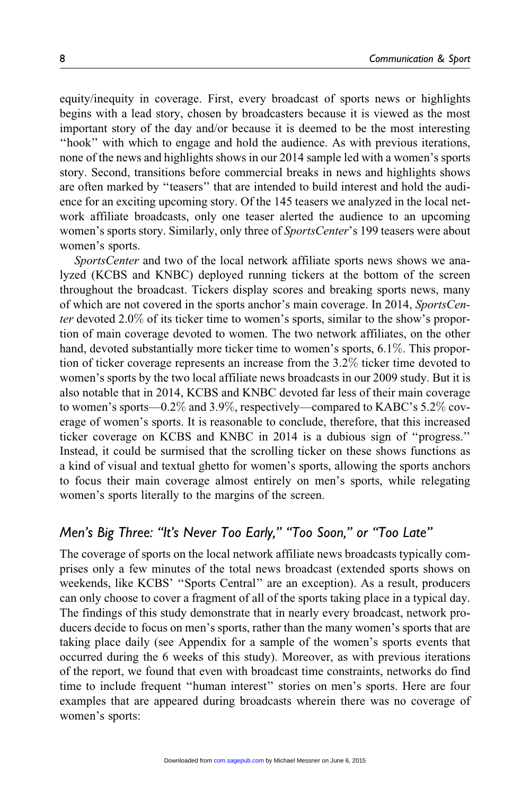equity/inequity in coverage. First, every broadcast of sports news or highlights begins with a lead story, chosen by broadcasters because it is viewed as the most important story of the day and/or because it is deemed to be the most interesting "hook" with which to engage and hold the audience. As with previous iterations, none of the news and highlights shows in our 2014 sample led with a women's sports story. Second, transitions before commercial breaks in news and highlights shows are often marked by ''teasers'' that are intended to build interest and hold the audience for an exciting upcoming story. Of the 145 teasers we analyzed in the local network affiliate broadcasts, only one teaser alerted the audience to an upcoming women's sports story. Similarly, only three of SportsCenter's 199 teasers were about women's sports.

SportsCenter and two of the local network affiliate sports news shows we analyzed (KCBS and KNBC) deployed running tickers at the bottom of the screen throughout the broadcast. Tickers display scores and breaking sports news, many of which are not covered in the sports anchor's main coverage. In 2014, SportsCenter devoted 2.0% of its ticker time to women's sports, similar to the show's proportion of main coverage devoted to women. The two network affiliates, on the other hand, devoted substantially more ticker time to women's sports, 6.1%. This proportion of ticker coverage represents an increase from the 3.2% ticker time devoted to women's sports by the two local affiliate news broadcasts in our 2009 study. But it is also notable that in 2014, KCBS and KNBC devoted far less of their main coverage to women's sports—0.2% and 3.9%, respectively—compared to KABC's 5.2% coverage of women's sports. It is reasonable to conclude, therefore, that this increased ticker coverage on KCBS and KNBC in 2014 is a dubious sign of ''progress.'' Instead, it could be surmised that the scrolling ticker on these shows functions as a kind of visual and textual ghetto for women's sports, allowing the sports anchors to focus their main coverage almost entirely on men's sports, while relegating women's sports literally to the margins of the screen.

## Men's Big Three: "It's Never Too Early," "Too Soon," or "Too Late"

The coverage of sports on the local network affiliate news broadcasts typically comprises only a few minutes of the total news broadcast (extended sports shows on weekends, like KCBS' ''Sports Central'' are an exception). As a result, producers can only choose to cover a fragment of all of the sports taking place in a typical day. The findings of this study demonstrate that in nearly every broadcast, network producers decide to focus on men's sports, rather than the many women's sports that are taking place daily (see Appendix for a sample of the women's sports events that occurred during the 6 weeks of this study). Moreover, as with previous iterations of the report, we found that even with broadcast time constraints, networks do find time to include frequent ''human interest'' stories on men's sports. Here are four examples that are appeared during broadcasts wherein there was no coverage of women's sports: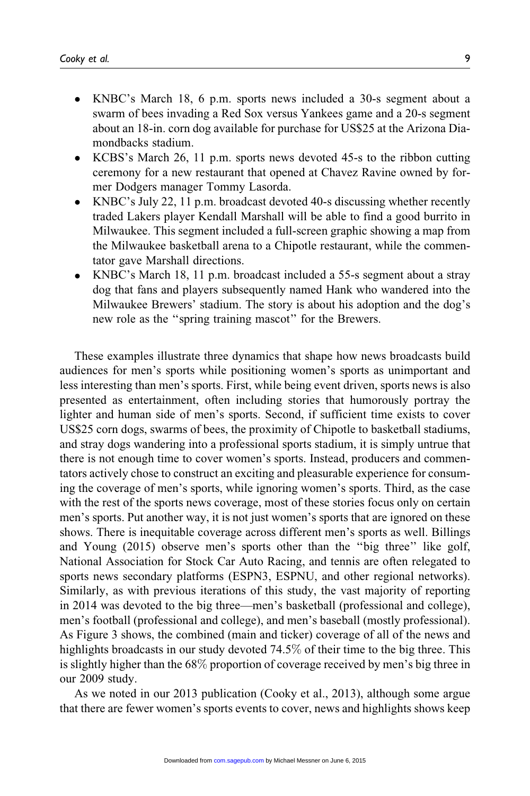- $\bullet$  KNBC's March 18, 6 p.m. sports news included a 30-s segment about a swarm of bees invading a Red Sox versus Yankees game and a 20-s segment about an 18-in. corn dog available for purchase for US\$25 at the Arizona Diamondbacks stadium.
- $\bullet$  KCBS's March 26, 11 p.m. sports news devoted 45-s to the ribbon cutting ceremony for a new restaurant that opened at Chavez Ravine owned by former Dodgers manager Tommy Lasorda.
- $\bullet$  KNBC's July 22, 11 p.m. broadcast devoted 40-s discussing whether recently traded Lakers player Kendall Marshall will be able to find a good burrito in Milwaukee. This segment included a full-screen graphic showing a map from the Milwaukee basketball arena to a Chipotle restaurant, while the commentator gave Marshall directions.
- $\bullet$  KNBC's March 18, 11 p.m. broadcast included a 55-s segment about a stray dog that fans and players subsequently named Hank who wandered into the Milwaukee Brewers' stadium. The story is about his adoption and the dog's new role as the ''spring training mascot'' for the Brewers.

These examples illustrate three dynamics that shape how news broadcasts build audiences for men's sports while positioning women's sports as unimportant and less interesting than men's sports. First, while being event driven, sports news is also presented as entertainment, often including stories that humorously portray the lighter and human side of men's sports. Second, if sufficient time exists to cover US\$25 corn dogs, swarms of bees, the proximity of Chipotle to basketball stadiums, and stray dogs wandering into a professional sports stadium, it is simply untrue that there is not enough time to cover women's sports. Instead, producers and commentators actively chose to construct an exciting and pleasurable experience for consuming the coverage of men's sports, while ignoring women's sports. Third, as the case with the rest of the sports news coverage, most of these stories focus only on certain men's sports. Put another way, it is not just women's sports that are ignored on these shows. There is inequitable coverage across different men's sports as well. Billings and Young (2015) observe men's sports other than the ''big three'' like golf, National Association for Stock Car Auto Racing, and tennis are often relegated to sports news secondary platforms (ESPN3, ESPNU, and other regional networks). Similarly, as with previous iterations of this study, the vast majority of reporting in 2014 was devoted to the big three—men's basketball (professional and college), men's football (professional and college), and men's baseball (mostly professional). As Figure 3 shows, the combined (main and ticker) coverage of all of the news and highlights broadcasts in our study devoted 74.5% of their time to the big three. This is slightly higher than the 68% proportion of coverage received by men's big three in our 2009 study.

As we noted in our 2013 publication (Cooky et al., 2013), although some argue that there are fewer women's sports events to cover, news and highlights shows keep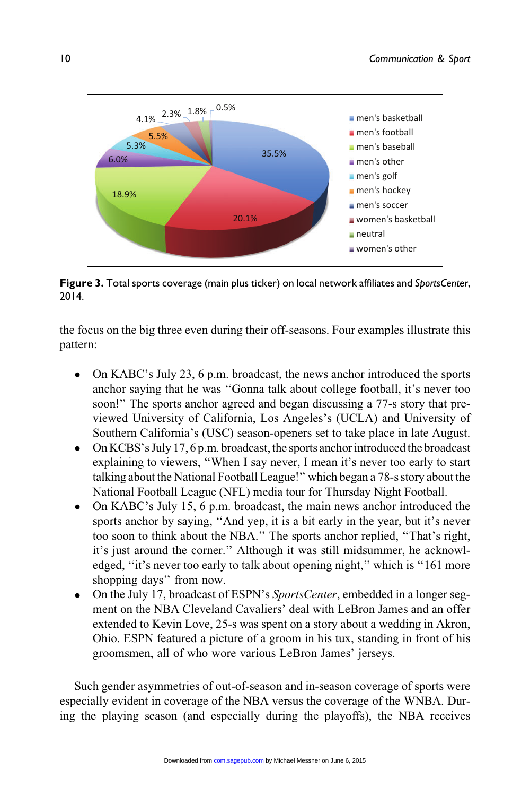

Figure 3. Total sports coverage (main plus ticker) on local network affiliates and SportsCenter, 2014.

the focus on the big three even during their off-seasons. Four examples illustrate this pattern:

- $\bullet$  On KABC's July 23, 6 p.m. broadcast, the news anchor introduced the sports anchor saying that he was ''Gonna talk about college football, it's never too soon!'' The sports anchor agreed and began discussing a 77-s story that previewed University of California, Los Angeles's (UCLA) and University of Southern California's (USC) season-openers set to take place in late August.
- On KCBS's July 17, 6 p.m. broadcast, the sports anchor introduced the broadcast explaining to viewers, ''When I say never, I mean it's never too early to start talking about the National Football League!'' which began a 78-s story about the National Football League (NFL) media tour for Thursday Night Football.
- $\bullet$  On KABC's July 15, 6 p.m. broadcast, the main news anchor introduced the sports anchor by saying, ''And yep, it is a bit early in the year, but it's never too soon to think about the NBA.'' The sports anchor replied, ''That's right, it's just around the corner.'' Although it was still midsummer, he acknowledged, ''it's never too early to talk about opening night,'' which is ''161 more shopping days'' from now.
- On the July 17, broadcast of ESPN's SportsCenter, embedded in a longer segment on the NBA Cleveland Cavaliers' deal with LeBron James and an offer extended to Kevin Love, 25-s was spent on a story about a wedding in Akron, Ohio. ESPN featured a picture of a groom in his tux, standing in front of his groomsmen, all of who wore various LeBron James' jerseys.

Such gender asymmetries of out-of-season and in-season coverage of sports were especially evident in coverage of the NBA versus the coverage of the WNBA. During the playing season (and especially during the playoffs), the NBA receives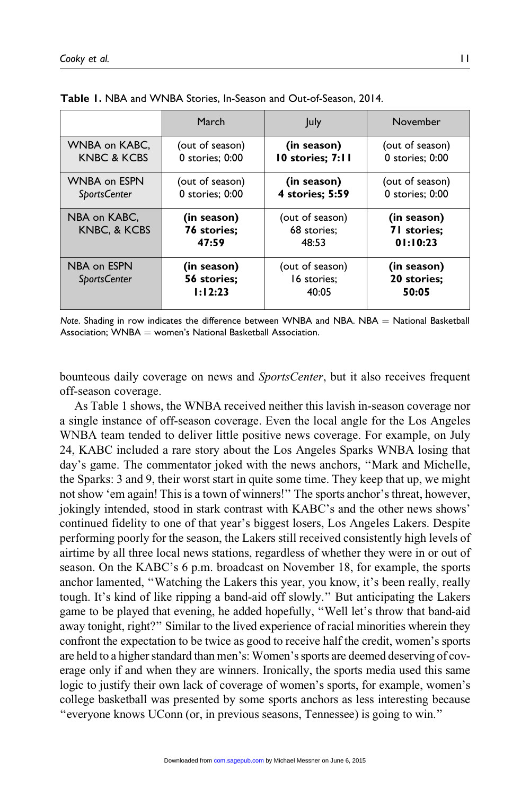|                                            | March                                 | July                                    | November                               |  |  |
|--------------------------------------------|---------------------------------------|-----------------------------------------|----------------------------------------|--|--|
| WNBA on KABC,<br><b>KNBC &amp; KCBS</b>    | (out of season)<br>0 stories: 0:00    | (in season)<br>10 stories; 7:11         | (out of season)<br>0 stories: 0:00     |  |  |
| <b>WNBA on ESPN</b><br><b>SportsCenter</b> | (out of season)<br>0 stories: 0:00    | (in season)<br>4 stories: 5:59          | (out of season)<br>0 stories: 0:00     |  |  |
| NBA on KABC.<br><b>KNBC, &amp; KCBS</b>    | (in season)<br>76 stories:<br>47:59   | (out of season)<br>68 stories:<br>48:53 | (in season)<br>71 stories:<br>01:10:23 |  |  |
| NBA on ESPN<br><b>SportsCenter</b>         | (in season)<br>56 stories:<br>1:12:23 | (out of season)<br>16 stories:<br>40:05 | (in season)<br>20 stories:<br>50:05    |  |  |

Table 1. NBA and WNBA Stories, In-Season and Out-of-Season, 2014.

Note. Shading in row indicates the difference between WNBA and NBA. NBA  $=$  National Basketball Association: WNBA  $=$  women's National Basketball Association.

bounteous daily coverage on news and SportsCenter, but it also receives frequent off-season coverage.

As Table 1 shows, the WNBA received neither this lavish in-season coverage nor a single instance of off-season coverage. Even the local angle for the Los Angeles WNBA team tended to deliver little positive news coverage. For example, on July 24, KABC included a rare story about the Los Angeles Sparks WNBA losing that day's game. The commentator joked with the news anchors, ''Mark and Michelle, the Sparks: 3 and 9, their worst start in quite some time. They keep that up, we might not show 'em again! This is a town of winners!'' The sports anchor's threat, however, jokingly intended, stood in stark contrast with KABC's and the other news shows' continued fidelity to one of that year's biggest losers, Los Angeles Lakers. Despite performing poorly for the season, the Lakers still received consistently high levels of airtime by all three local news stations, regardless of whether they were in or out of season. On the KABC's 6 p.m. broadcast on November 18, for example, the sports anchor lamented, ''Watching the Lakers this year, you know, it's been really, really tough. It's kind of like ripping a band-aid off slowly.'' But anticipating the Lakers game to be played that evening, he added hopefully, ''Well let's throw that band-aid away tonight, right?'' Similar to the lived experience of racial minorities wherein they confront the expectation to be twice as good to receive half the credit, women's sports are held to a higher standard than men's: Women's sports are deemed deserving of coverage only if and when they are winners. Ironically, the sports media used this same logic to justify their own lack of coverage of women's sports, for example, women's college basketball was presented by some sports anchors as less interesting because ''everyone knows UConn (or, in previous seasons, Tennessee) is going to win.''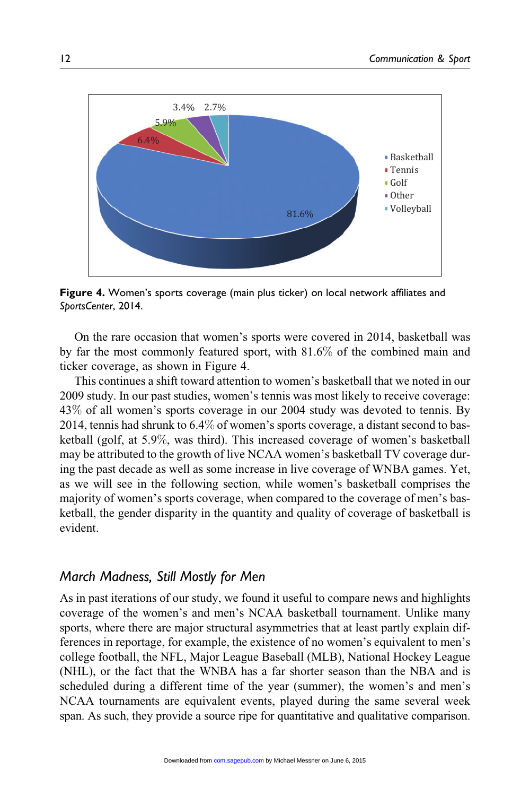

Figure 4. Women's sports coverage (main plus ticker) on local network affiliates and SportsCenter, 2014.

On the rare occasion that women's sports were covered in 2014, basketball was by far the most commonly featured sport, with 81.6% of the combined main and ticker coverage, as shown in Figure 4.

This continues a shift toward attention to women's basketball that we noted in our 2009 study. In our past studies, women's tennis was most likely to receive coverage: 43% of all women's sports coverage in our 2004 study was devoted to tennis. By 2014, tennis had shrunk to 6.4% of women's sports coverage, a distant second to basketball (golf, at 5.9%, was third). This increased coverage of women's basketball may be attributed to the growth of live NCAA women's basketball TV coverage during the past decade as well as some increase in live coverage of WNBA games. Yet, as we will see in the following section, while women's basketball comprises the majority of women's sports coverage, when compared to the coverage of men's basketball, the gender disparity in the quantity and quality of coverage of basketball is evident.

#### March Madness, Still Mostly for Men

As in past iterations of our study, we found it useful to compare news and highlights coverage of the women's and men's NCAA basketball tournament. Unlike many sports, where there are major structural asymmetries that at least partly explain differences in reportage, for example, the existence of no women's equivalent to men's college football, the NFL, Major League Baseball (MLB), National Hockey League (NHL), or the fact that the WNBA has a far shorter season than the NBA and is scheduled during a different time of the year (summer), the women's and men's NCAA tournaments are equivalent events, played during the same several week span. As such, they provide a source ripe for quantitative and qualitative comparison.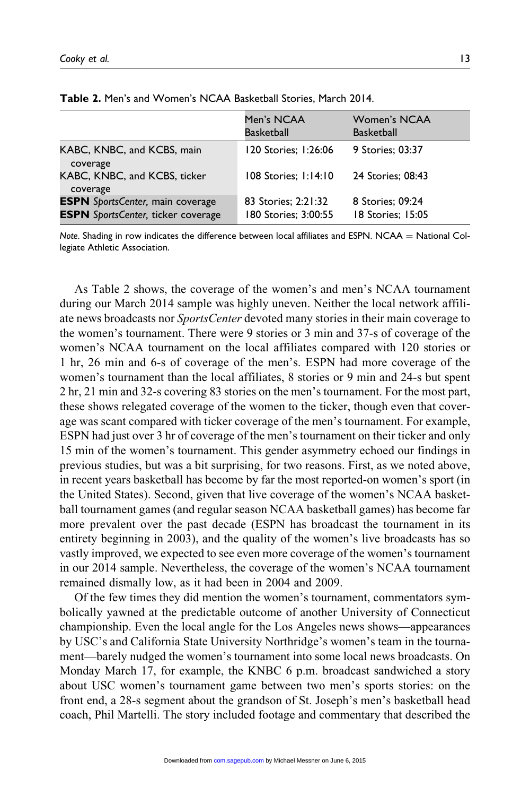|                                                                                      | Men's NCAA<br><b>Basketball</b>             | <b>Women's NCAA</b><br><b>Basketball</b> |
|--------------------------------------------------------------------------------------|---------------------------------------------|------------------------------------------|
| KABC, KNBC, and KCBS, main<br>coverage                                               | 120 Stories: 1:26:06                        | 9 Stories: 03:37                         |
| KABC, KNBC, and KCBS, ticker<br>coverage                                             | 108 Stories; 1:14:10                        | 24 Stories; 08:43                        |
| <b>ESPN</b> SportsCenter, main coverage<br><b>ESPN</b> SportsCenter, ticker coverage | 83 Stories; 2:21:32<br>180 Stories: 3:00:55 | 8 Stories; 09:24<br>18 Stories; 15:05    |

| <b>Table 2.</b> Men's and Women's NCAA Basketball Stories, March 2014. |  |
|------------------------------------------------------------------------|--|
|------------------------------------------------------------------------|--|

Note. Shading in row indicates the difference between local affiliates and ESPN. NCAA  $=$  National Collegiate Athletic Association.

As Table 2 shows, the coverage of the women's and men's NCAA tournament during our March 2014 sample was highly uneven. Neither the local network affiliate news broadcasts nor Sports Center devoted many stories in their main coverage to the women's tournament. There were 9 stories or 3 min and 37-s of coverage of the women's NCAA tournament on the local affiliates compared with 120 stories or 1 hr, 26 min and 6-s of coverage of the men's. ESPN had more coverage of the women's tournament than the local affiliates, 8 stories or 9 min and 24-s but spent 2 hr, 21 min and 32-s covering 83 stories on the men's tournament. For the most part, these shows relegated coverage of the women to the ticker, though even that coverage was scant compared with ticker coverage of the men's tournament. For example, ESPN had just over 3 hr of coverage of the men's tournament on their ticker and only 15 min of the women's tournament. This gender asymmetry echoed our findings in previous studies, but was a bit surprising, for two reasons. First, as we noted above, in recent years basketball has become by far the most reported-on women's sport (in the United States). Second, given that live coverage of the women's NCAA basketball tournament games (and regular season NCAA basketball games) has become far more prevalent over the past decade (ESPN has broadcast the tournament in its entirety beginning in 2003), and the quality of the women's live broadcasts has so vastly improved, we expected to see even more coverage of the women's tournament in our 2014 sample. Nevertheless, the coverage of the women's NCAA tournament remained dismally low, as it had been in 2004 and 2009.

Of the few times they did mention the women's tournament, commentators symbolically yawned at the predictable outcome of another University of Connecticut championship. Even the local angle for the Los Angeles news shows—appearances by USC's and California State University Northridge's women's team in the tournament—barely nudged the women's tournament into some local news broadcasts. On Monday March 17, for example, the KNBC 6 p.m. broadcast sandwiched a story about USC women's tournament game between two men's sports stories: on the front end, a 28-s segment about the grandson of St. Joseph's men's basketball head coach, Phil Martelli. The story included footage and commentary that described the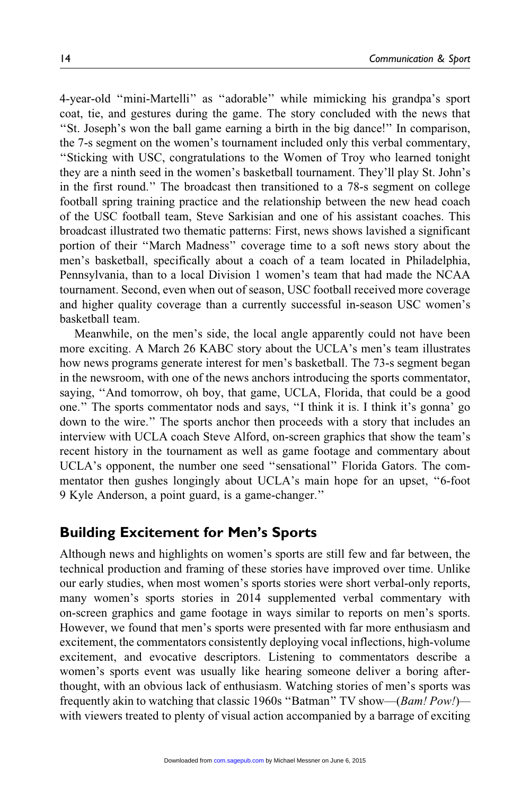4-year-old ''mini-Martelli'' as ''adorable'' while mimicking his grandpa's sport coat, tie, and gestures during the game. The story concluded with the news that ''St. Joseph's won the ball game earning a birth in the big dance!'' In comparison, the 7-s segment on the women's tournament included only this verbal commentary, ''Sticking with USC, congratulations to the Women of Troy who learned tonight they are a ninth seed in the women's basketball tournament. They'll play St. John's in the first round.'' The broadcast then transitioned to a 78-s segment on college football spring training practice and the relationship between the new head coach of the USC football team, Steve Sarkisian and one of his assistant coaches. This broadcast illustrated two thematic patterns: First, news shows lavished a significant portion of their ''March Madness'' coverage time to a soft news story about the men's basketball, specifically about a coach of a team located in Philadelphia, Pennsylvania, than to a local Division 1 women's team that had made the NCAA tournament. Second, even when out of season, USC football received more coverage and higher quality coverage than a currently successful in-season USC women's basketball team.

Meanwhile, on the men's side, the local angle apparently could not have been more exciting. A March 26 KABC story about the UCLA's men's team illustrates how news programs generate interest for men's basketball. The 73-s segment began in the newsroom, with one of the news anchors introducing the sports commentator, saying, "And tomorrow, oh boy, that game, UCLA, Florida, that could be a good one.'' The sports commentator nods and says, ''I think it is. I think it's gonna' go down to the wire.'' The sports anchor then proceeds with a story that includes an interview with UCLA coach Steve Alford, on-screen graphics that show the team's recent history in the tournament as well as game footage and commentary about UCLA's opponent, the number one seed ''sensational'' Florida Gators. The commentator then gushes longingly about UCLA's main hope for an upset, ''6-foot 9 Kyle Anderson, a point guard, is a game-changer.''

#### Building Excitement for Men's Sports

Although news and highlights on women's sports are still few and far between, the technical production and framing of these stories have improved over time. Unlike our early studies, when most women's sports stories were short verbal-only reports, many women's sports stories in 2014 supplemented verbal commentary with on-screen graphics and game footage in ways similar to reports on men's sports. However, we found that men's sports were presented with far more enthusiasm and excitement, the commentators consistently deploying vocal inflections, high-volume excitement, and evocative descriptors. Listening to commentators describe a women's sports event was usually like hearing someone deliver a boring afterthought, with an obvious lack of enthusiasm. Watching stories of men's sports was frequently akin to watching that classic 1960s "Batman" TV show—(Bam! Pow!) with viewers treated to plenty of visual action accompanied by a barrage of exciting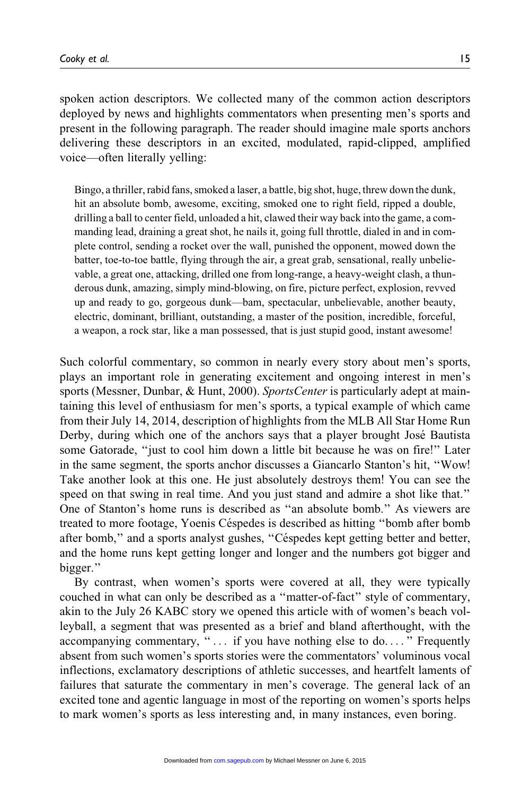spoken action descriptors. We collected many of the common action descriptors deployed by news and highlights commentators when presenting men's sports and present in the following paragraph. The reader should imagine male sports anchors delivering these descriptors in an excited, modulated, rapid-clipped, amplified voice—often literally yelling:

Bingo, a thriller, rabid fans, smoked a laser, a battle, big shot, huge, threw down the dunk, hit an absolute bomb, awesome, exciting, smoked one to right field, ripped a double, drilling a ball to center field, unloaded a hit, clawed their way back into the game, a commanding lead, draining a great shot, he nails it, going full throttle, dialed in and in complete control, sending a rocket over the wall, punished the opponent, mowed down the batter, toe-to-toe battle, flying through the air, a great grab, sensational, really unbelievable, a great one, attacking, drilled one from long-range, a heavy-weight clash, a thunderous dunk, amazing, simply mind-blowing, on fire, picture perfect, explosion, revved up and ready to go, gorgeous dunk—bam, spectacular, unbelievable, another beauty, electric, dominant, brilliant, outstanding, a master of the position, incredible, forceful, a weapon, a rock star, like a man possessed, that is just stupid good, instant awesome!

Such colorful commentary, so common in nearly every story about men's sports, plays an important role in generating excitement and ongoing interest in men's sports (Messner, Dunbar, & Hunt, 2000). SportsCenter is particularly adept at maintaining this level of enthusiasm for men's sports, a typical example of which came from their July 14, 2014, description of highlights from the MLB All Star Home Run Derby, during which one of the anchors says that a player brought Jose´ Bautista some Gatorade, ''just to cool him down a little bit because he was on fire!'' Later in the same segment, the sports anchor discusses a Giancarlo Stanton's hit, ''Wow! Take another look at this one. He just absolutely destroys them! You can see the speed on that swing in real time. And you just stand and admire a shot like that.'' One of Stanton's home runs is described as ''an absolute bomb.'' As viewers are treated to more footage, Yoenis Céspedes is described as hitting "bomb after bomb after bomb," and a sports analyst gushes, "Céspedes kept getting better and better, and the home runs kept getting longer and longer and the numbers got bigger and bigger.''

By contrast, when women's sports were covered at all, they were typically couched in what can only be described as a ''matter-of-fact'' style of commentary, akin to the July 26 KABC story we opened this article with of women's beach volleyball, a segment that was presented as a brief and bland afterthought, with the accompanying commentary, "... if you have nothing else to do...." Frequently absent from such women's sports stories were the commentators' voluminous vocal inflections, exclamatory descriptions of athletic successes, and heartfelt laments of failures that saturate the commentary in men's coverage. The general lack of an excited tone and agentic language in most of the reporting on women's sports helps to mark women's sports as less interesting and, in many instances, even boring.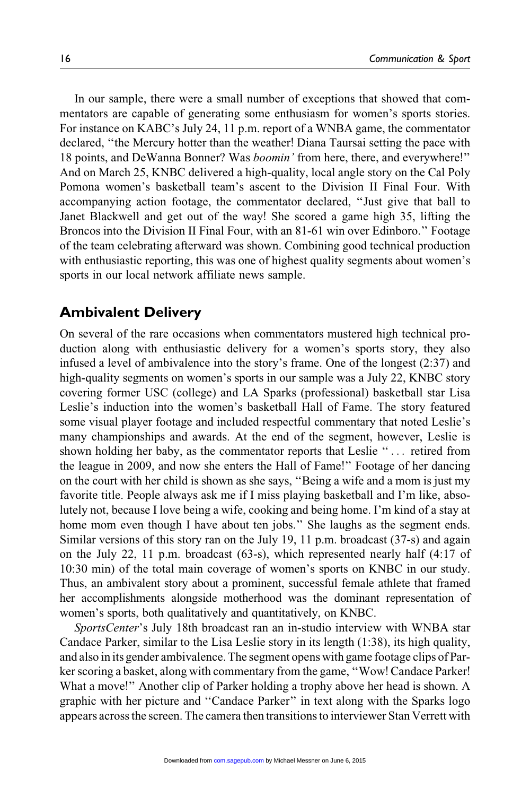In our sample, there were a small number of exceptions that showed that commentators are capable of generating some enthusiasm for women's sports stories. For instance on KABC's July 24, 11 p.m. report of a WNBA game, the commentator declared, ''the Mercury hotter than the weather! Diana Taursai setting the pace with 18 points, and DeWanna Bonner? Was boomin' from here, there, and everywhere!'' And on March 25, KNBC delivered a high-quality, local angle story on the Cal Poly Pomona women's basketball team's ascent to the Division II Final Four. With accompanying action footage, the commentator declared, ''Just give that ball to Janet Blackwell and get out of the way! She scored a game high 35, lifting the Broncos into the Division II Final Four, with an 81-61 win over Edinboro.'' Footage of the team celebrating afterward was shown. Combining good technical production with enthusiastic reporting, this was one of highest quality segments about women's sports in our local network affiliate news sample.

## Ambivalent Delivery

On several of the rare occasions when commentators mustered high technical production along with enthusiastic delivery for a women's sports story, they also infused a level of ambivalence into the story's frame. One of the longest (2:37) and high-quality segments on women's sports in our sample was a July 22, KNBC story covering former USC (college) and LA Sparks (professional) basketball star Lisa Leslie's induction into the women's basketball Hall of Fame. The story featured some visual player footage and included respectful commentary that noted Leslie's many championships and awards. At the end of the segment, however, Leslie is shown holding her baby, as the commentator reports that Leslie ''... retired from the league in 2009, and now she enters the Hall of Fame!'' Footage of her dancing on the court with her child is shown as she says, ''Being a wife and a mom is just my favorite title. People always ask me if I miss playing basketball and I'm like, absolutely not, because I love being a wife, cooking and being home. I'm kind of a stay at home mom even though I have about ten jobs.'' She laughs as the segment ends. Similar versions of this story ran on the July 19, 11 p.m. broadcast (37-s) and again on the July 22, 11 p.m. broadcast (63-s), which represented nearly half (4:17 of 10:30 min) of the total main coverage of women's sports on KNBC in our study. Thus, an ambivalent story about a prominent, successful female athlete that framed her accomplishments alongside motherhood was the dominant representation of women's sports, both qualitatively and quantitatively, on KNBC.

SportsCenter's July 18th broadcast ran an in-studio interview with WNBA star Candace Parker, similar to the Lisa Leslie story in its length (1:38), its high quality, and also in its gender ambivalence. The segment opens with game footage clips of Parker scoring a basket, along with commentary from the game, ''Wow! Candace Parker! What a move!'' Another clip of Parker holding a trophy above her head is shown. A graphic with her picture and ''Candace Parker'' in text along with the Sparks logo appears across the screen. The camera then transitions to interviewer Stan Verrett with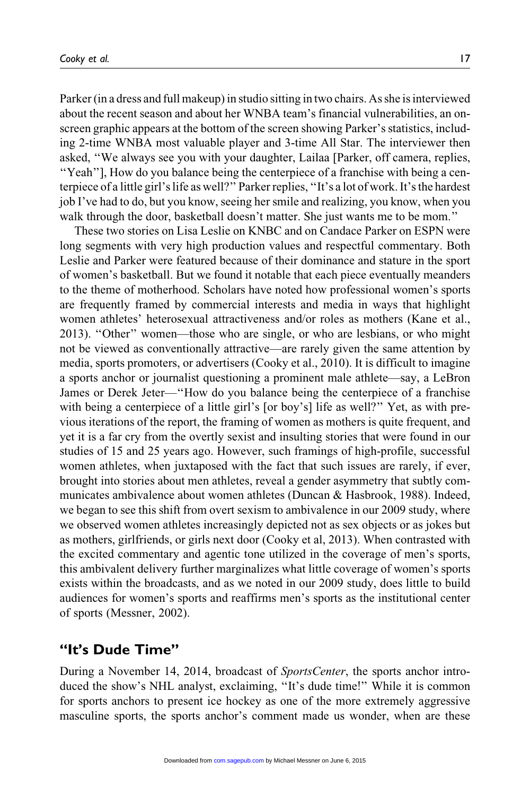Parker (in a dress and full makeup) in studio sitting in two chairs. As she is interviewed about the recent season and about her WNBA team's financial vulnerabilities, an onscreen graphic appears at the bottom of the screen showing Parker's statistics, including 2-time WNBA most valuable player and 3-time All Star. The interviewer then asked, ''We always see you with your daughter, Lailaa [Parker, off camera, replies, "Yeah"], How do you balance being the centerpiece of a franchise with being a centerpiece of a little girl's life as well?'' Parker replies, ''It's a lot of work. It's the hardest job I've had to do, but you know, seeing her smile and realizing, you know, when you walk through the door, basketball doesn't matter. She just wants me to be mom.''

These two stories on Lisa Leslie on KNBC and on Candace Parker on ESPN were long segments with very high production values and respectful commentary. Both Leslie and Parker were featured because of their dominance and stature in the sport of women's basketball. But we found it notable that each piece eventually meanders to the theme of motherhood. Scholars have noted how professional women's sports are frequently framed by commercial interests and media in ways that highlight women athletes' heterosexual attractiveness and/or roles as mothers (Kane et al., 2013). ''Other'' women—those who are single, or who are lesbians, or who might not be viewed as conventionally attractive—are rarely given the same attention by media, sports promoters, or advertisers (Cooky et al., 2010). It is difficult to imagine a sports anchor or journalist questioning a prominent male athlete—say, a LeBron James or Derek Jeter—''How do you balance being the centerpiece of a franchise with being a centerpiece of a little girl's [or boy's] life as well?" Yet, as with previous iterations of the report, the framing of women as mothers is quite frequent, and yet it is a far cry from the overtly sexist and insulting stories that were found in our studies of 15 and 25 years ago. However, such framings of high-profile, successful women athletes, when juxtaposed with the fact that such issues are rarely, if ever, brought into stories about men athletes, reveal a gender asymmetry that subtly communicates ambivalence about women athletes (Duncan & Hasbrook, 1988). Indeed, we began to see this shift from overt sexism to ambivalence in our 2009 study, where we observed women athletes increasingly depicted not as sex objects or as jokes but as mothers, girlfriends, or girls next door (Cooky et al, 2013). When contrasted with the excited commentary and agentic tone utilized in the coverage of men's sports, this ambivalent delivery further marginalizes what little coverage of women's sports exists within the broadcasts, and as we noted in our 2009 study, does little to build audiences for women's sports and reaffirms men's sports as the institutional center of sports (Messner, 2002).

#### ''It's Dude Time''

During a November 14, 2014, broadcast of *SportsCenter*, the sports anchor introduced the show's NHL analyst, exclaiming, ''It's dude time!'' While it is common for sports anchors to present ice hockey as one of the more extremely aggressive masculine sports, the sports anchor's comment made us wonder, when are these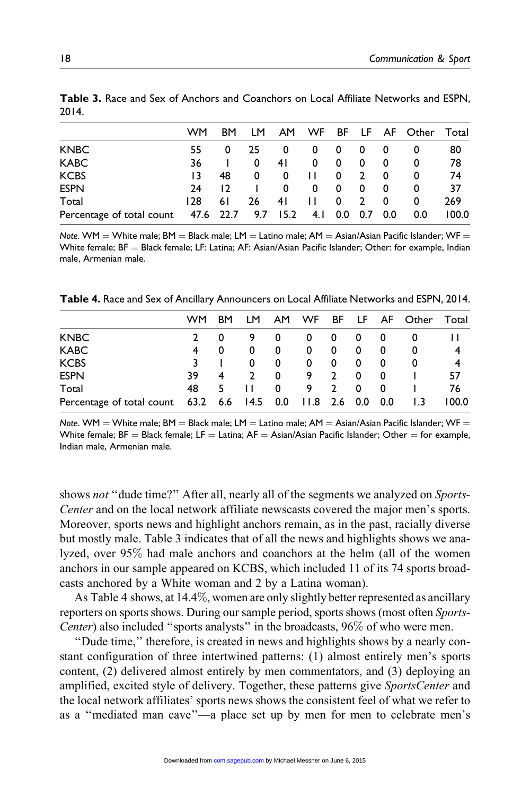|                                              | WM  | RM             | I M | AM | WF. | BF         |              |     | LF AF Other | Total |
|----------------------------------------------|-----|----------------|-----|----|-----|------------|--------------|-----|-------------|-------|
| <b>KNBC</b>                                  | 55  |                | 25  | 0  | 0   | 0          | 0            | 0   |             | 80    |
| <b>KABC</b>                                  | 36  |                | 0   | 41 | 0   | 0          | 0            | 0   | 0           | 78    |
| <b>KCBS</b>                                  | 13  | 48             | 0   | 0  | Ш   | 0          | $\mathbf{2}$ | 0   | 0           | 74    |
| <b>ESPN</b>                                  | 24  | $\overline{2}$ |     | 0  | 0   | 0          | 0            | 0   | 0           | 37    |
| Total                                        | 128 | 6 I            | 26  | 41 | Ш   | $^{\circ}$ | 2            | 0   | 0           | 269   |
| Percentage of total count 47.6 22.7 9.7 15.2 |     |                |     |    | 4.1 | 0.0        | 0.7          | 0.0 | 0.0         | 100.0 |

Table 3. Race and Sex of Anchors and Coanchors on Local Affiliate Networks and ESPN, 2014.

Note. WM = White male: BM = Black male; LM = Latino male; AM = Asian/Asian Pacific Islander; WF = White female; BF = Black female; LF: Latina; AF: Asian/Asian Pacific Islander; Other: for example, Indian male, Armenian male.

Table 4. Race and Sex of Ancillary Announcers on Local Affiliate Networks and ESPN, 2014.

|                                             | WM | ВM | I M | AM. | WF   | BF      | LF | AF  | Other    | Total |
|---------------------------------------------|----|----|-----|-----|------|---------|----|-----|----------|-------|
| <b>KNBC</b>                                 |    |    | 9   | 0   | 0    | 0       |    |     |          |       |
| <b>KABC</b>                                 | 4  | 0  | 0   | 0   | 0    | 0       | 0  | 0   | $\Omega$ | 4     |
| <b>KCBS</b>                                 | 3. |    | 0   | 0   | 0    | 0       | 0  | 0   | 0        | 4     |
| <b>ESPN</b>                                 | 39 | 4  |     | 0   | 9    | 2       | 0  | 0   |          | 57    |
| Total                                       | 48 | 5  |     | 0   | 9    | 2       | 0  | 0   |          | 76    |
| Percentage of total count 63.2 6.6 14.5 0.0 |    |    |     |     | 11.8 | 2.6 0.0 |    | 0.0 |          | 100.0 |

Note. WM  $=$  White male; BM  $=$  Black male; LM  $=$  Latino male; AM  $=$  Asian/Asian Pacific Islander; WF  $=$ White female;  $BF = Black$  female;  $LF = Latina$ ;  $AF = Asian/Asian$  Pacific Islander; Other  $=$  for example, Indian male, Armenian male.

shows not "dude time?" After all, nearly all of the segments we analyzed on *Sports*-Center and on the local network affiliate newscasts covered the major men's sports. Moreover, sports news and highlight anchors remain, as in the past, racially diverse but mostly male. Table 3 indicates that of all the news and highlights shows we analyzed, over 95% had male anchors and coanchors at the helm (all of the women anchors in our sample appeared on KCBS, which included 11 of its 74 sports broadcasts anchored by a White woman and 2 by a Latina woman).

As Table 4 shows, at 14.4%, women are only slightly better represented as ancillary reporters on sports shows. During our sample period, sports shows (most often Sports-Center) also included ''sports analysts'' in the broadcasts, 96% of who were men.

''Dude time,'' therefore, is created in news and highlights shows by a nearly constant configuration of three intertwined patterns: (1) almost entirely men's sports content, (2) delivered almost entirely by men commentators, and (3) deploying an amplified, excited style of delivery. Together, these patterns give SportsCenter and the local network affiliates' sports news shows the consistent feel of what we refer to as a ''mediated man cave''—a place set up by men for men to celebrate men's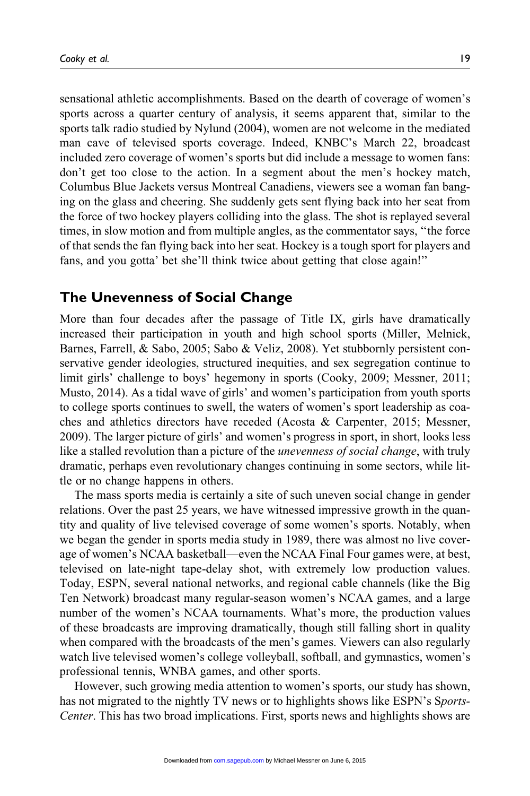sensational athletic accomplishments. Based on the dearth of coverage of women's sports across a quarter century of analysis, it seems apparent that, similar to the sports talk radio studied by Nylund (2004), women are not welcome in the mediated man cave of televised sports coverage. Indeed, KNBC's March 22, broadcast included zero coverage of women's sports but did include a message to women fans: don't get too close to the action. In a segment about the men's hockey match, Columbus Blue Jackets versus Montreal Canadiens, viewers see a woman fan banging on the glass and cheering. She suddenly gets sent flying back into her seat from the force of two hockey players colliding into the glass. The shot is replayed several times, in slow motion and from multiple angles, as the commentator says, ''the force of that sends the fan flying back into her seat. Hockey is a tough sport for players and fans, and you gotta' bet she'll think twice about getting that close again!''

#### The Unevenness of Social Change

More than four decades after the passage of Title IX, girls have dramatically increased their participation in youth and high school sports (Miller, Melnick, Barnes, Farrell, & Sabo, 2005; Sabo & Veliz, 2008). Yet stubbornly persistent conservative gender ideologies, structured inequities, and sex segregation continue to limit girls' challenge to boys' hegemony in sports (Cooky, 2009; Messner, 2011; Musto, 2014). As a tidal wave of girls' and women's participation from youth sports to college sports continues to swell, the waters of women's sport leadership as coaches and athletics directors have receded (Acosta & Carpenter, 2015; Messner, 2009). The larger picture of girls' and women's progress in sport, in short, looks less like a stalled revolution than a picture of the *unevenness of social change*, with truly dramatic, perhaps even revolutionary changes continuing in some sectors, while little or no change happens in others.

The mass sports media is certainly a site of such uneven social change in gender relations. Over the past 25 years, we have witnessed impressive growth in the quantity and quality of live televised coverage of some women's sports. Notably, when we began the gender in sports media study in 1989, there was almost no live coverage of women's NCAA basketball—even the NCAA Final Four games were, at best, televised on late-night tape-delay shot, with extremely low production values. Today, ESPN, several national networks, and regional cable channels (like the Big Ten Network) broadcast many regular-season women's NCAA games, and a large number of the women's NCAA tournaments. What's more, the production values of these broadcasts are improving dramatically, though still falling short in quality when compared with the broadcasts of the men's games. Viewers can also regularly watch live televised women's college volleyball, softball, and gymnastics, women's professional tennis, WNBA games, and other sports.

However, such growing media attention to women's sports, our study has shown, has not migrated to the nightly TV news or to highlights shows like ESPN's Sports-Center. This has two broad implications. First, sports news and highlights shows are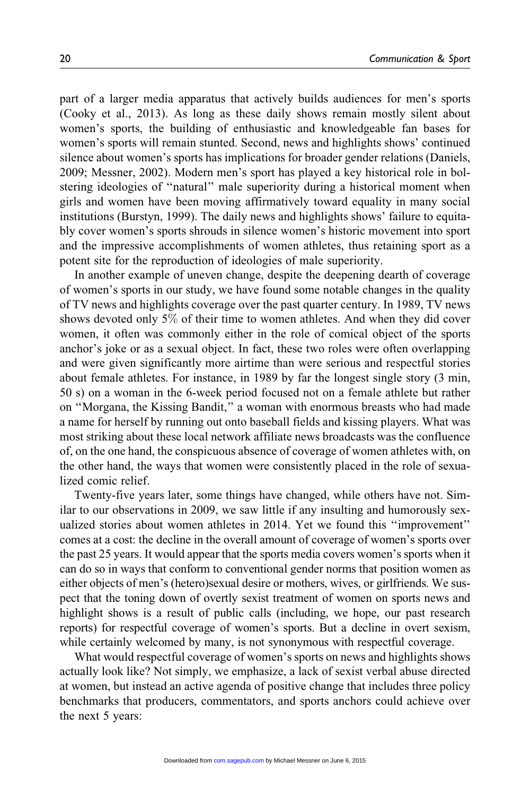part of a larger media apparatus that actively builds audiences for men's sports (Cooky et al., 2013). As long as these daily shows remain mostly silent about women's sports, the building of enthusiastic and knowledgeable fan bases for women's sports will remain stunted. Second, news and highlights shows' continued silence about women's sports has implications for broader gender relations (Daniels, 2009; Messner, 2002). Modern men's sport has played a key historical role in bolstering ideologies of ''natural'' male superiority during a historical moment when girls and women have been moving affirmatively toward equality in many social institutions (Burstyn, 1999). The daily news and highlights shows' failure to equitably cover women's sports shrouds in silence women's historic movement into sport and the impressive accomplishments of women athletes, thus retaining sport as a potent site for the reproduction of ideologies of male superiority.

In another example of uneven change, despite the deepening dearth of coverage of women's sports in our study, we have found some notable changes in the quality of TV news and highlights coverage over the past quarter century. In 1989, TV news shows devoted only 5% of their time to women athletes. And when they did cover women, it often was commonly either in the role of comical object of the sports anchor's joke or as a sexual object. In fact, these two roles were often overlapping and were given significantly more airtime than were serious and respectful stories about female athletes. For instance, in 1989 by far the longest single story (3 min, 50 s) on a woman in the 6-week period focused not on a female athlete but rather on ''Morgana, the Kissing Bandit,'' a woman with enormous breasts who had made a name for herself by running out onto baseball fields and kissing players. What was most striking about these local network affiliate news broadcasts was the confluence of, on the one hand, the conspicuous absence of coverage of women athletes with, on the other hand, the ways that women were consistently placed in the role of sexualized comic relief.

Twenty-five years later, some things have changed, while others have not. Similar to our observations in 2009, we saw little if any insulting and humorously sexualized stories about women athletes in 2014. Yet we found this ''improvement'' comes at a cost: the decline in the overall amount of coverage of women's sports over the past 25 years. It would appear that the sports media covers women's sports when it can do so in ways that conform to conventional gender norms that position women as either objects of men's (hetero)sexual desire or mothers, wives, or girlfriends. We suspect that the toning down of overtly sexist treatment of women on sports news and highlight shows is a result of public calls (including, we hope, our past research reports) for respectful coverage of women's sports. But a decline in overt sexism, while certainly welcomed by many, is not synonymous with respectful coverage.

What would respectful coverage of women's sports on news and highlights shows actually look like? Not simply, we emphasize, a lack of sexist verbal abuse directed at women, but instead an active agenda of positive change that includes three policy benchmarks that producers, commentators, and sports anchors could achieve over the next 5 years: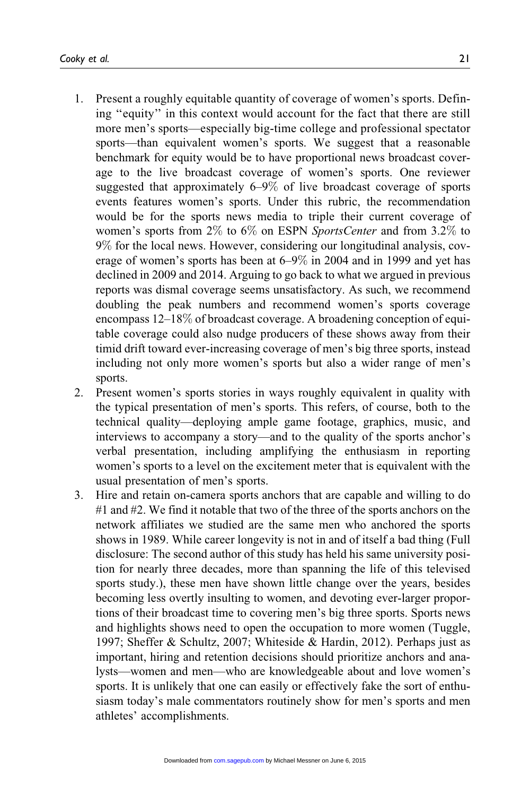- 1. Present a roughly equitable quantity of coverage of women's sports. Defining ''equity'' in this context would account for the fact that there are still more men's sports—especially big-time college and professional spectator sports—than equivalent women's sports. We suggest that a reasonable benchmark for equity would be to have proportional news broadcast coverage to the live broadcast coverage of women's sports. One reviewer suggested that approximately  $6-9\%$  of live broadcast coverage of sports events features women's sports. Under this rubric, the recommendation would be for the sports news media to triple their current coverage of women's sports from 2% to 6% on ESPN SportsCenter and from 3.2% to 9% for the local news. However, considering our longitudinal analysis, coverage of women's sports has been at 6–9% in 2004 and in 1999 and yet has declined in 2009 and 2014. Arguing to go back to what we argued in previous reports was dismal coverage seems unsatisfactory. As such, we recommend doubling the peak numbers and recommend women's sports coverage encompass 12–18% of broadcast coverage. A broadening conception of equitable coverage could also nudge producers of these shows away from their timid drift toward ever-increasing coverage of men's big three sports, instead including not only more women's sports but also a wider range of men's sports.
- 2. Present women's sports stories in ways roughly equivalent in quality with the typical presentation of men's sports. This refers, of course, both to the technical quality—deploying ample game footage, graphics, music, and interviews to accompany a story—and to the quality of the sports anchor's verbal presentation, including amplifying the enthusiasm in reporting women's sports to a level on the excitement meter that is equivalent with the usual presentation of men's sports.
- 3. Hire and retain on-camera sports anchors that are capable and willing to do #1 and #2. We find it notable that two of the three of the sports anchors on the network affiliates we studied are the same men who anchored the sports shows in 1989. While career longevity is not in and of itself a bad thing (Full disclosure: The second author of this study has held his same university position for nearly three decades, more than spanning the life of this televised sports study.), these men have shown little change over the years, besides becoming less overtly insulting to women, and devoting ever-larger proportions of their broadcast time to covering men's big three sports. Sports news and highlights shows need to open the occupation to more women (Tuggle, 1997; Sheffer & Schultz, 2007; Whiteside & Hardin, 2012). Perhaps just as important, hiring and retention decisions should prioritize anchors and analysts—women and men—who are knowledgeable about and love women's sports. It is unlikely that one can easily or effectively fake the sort of enthusiasm today's male commentators routinely show for men's sports and men athletes' accomplishments.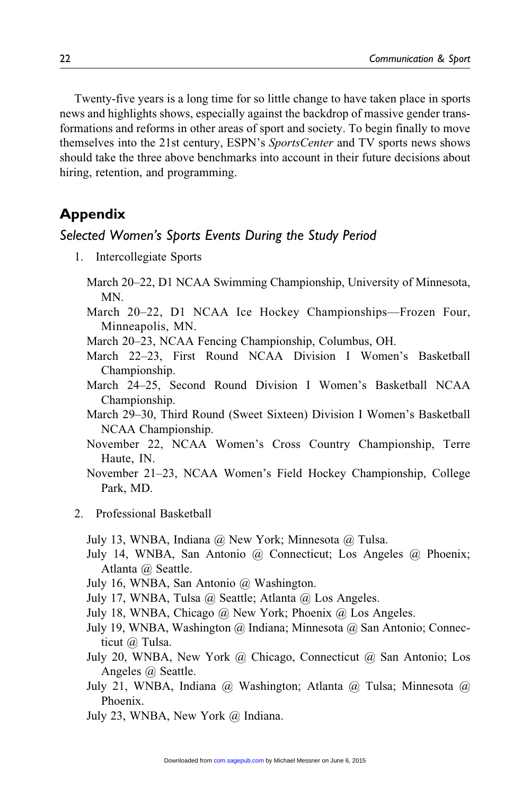Twenty-five years is a long time for so little change to have taken place in sports news and highlights shows, especially against the backdrop of massive gender transformations and reforms in other areas of sport and society. To begin finally to move themselves into the 21st century, ESPN's SportsCenter and TV sports news shows should take the three above benchmarks into account in their future decisions about hiring, retention, and programming.

### Appendix

#### Selected Women's Sports Events During the Study Period

- 1. Intercollegiate Sports
	- March 20–22, D1 NCAA Swimming Championship, University of Minnesota, MN.
	- March 20–22, D1 NCAA Ice Hockey Championships—Frozen Four, Minneapolis, MN.
	- March 20–23, NCAA Fencing Championship, Columbus, OH.
	- March 22–23, First Round NCAA Division I Women's Basketball Championship.
	- March 24–25, Second Round Division I Women's Basketball NCAA Championship.
	- March 29–30, Third Round (Sweet Sixteen) Division I Women's Basketball NCAA Championship.
	- November 22, NCAA Women's Cross Country Championship, Terre Haute, IN.
	- November 21–23, NCAA Women's Field Hockey Championship, College Park, MD.
- 2. Professional Basketball

July 13, WNBA, Indiana @ New York; Minnesota @ Tulsa.

- July 14, WNBA, San Antonio @ Connecticut; Los Angeles @ Phoenix; Atlanta @ Seattle.
- July 16, WNBA, San Antonio @ Washington.
- July 17, WNBA, Tulsa @ Seattle; Atlanta @ Los Angeles.
- July 18, WNBA, Chicago @ New York; Phoenix @ Los Angeles.
- July 19, WNBA, Washington @ Indiana; Minnesota @ San Antonio; Connecticut @ Tulsa.
- July 20, WNBA, New York @ Chicago, Connecticut @ San Antonio; Los Angeles @ Seattle.
- July 21, WNBA, Indiana @ Washington; Atlanta @ Tulsa; Minnesota @ Phoenix.
- July 23, WNBA, New York @ Indiana.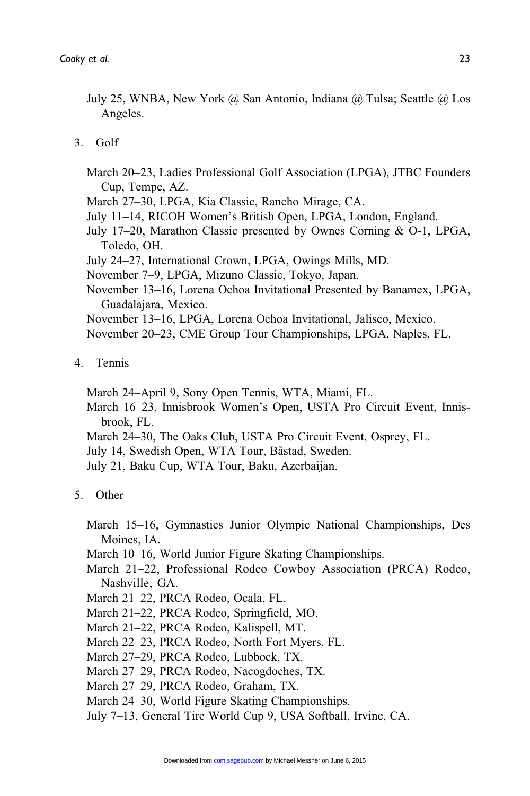- July 25, WNBA, New York @ San Antonio, Indiana @ Tulsa; Seattle @ Los Angeles.
- 3. Golf
	- March 20–23, Ladies Professional Golf Association (LPGA), JTBC Founders Cup, Tempe, AZ.
	- March 27–30, LPGA, Kia Classic, Rancho Mirage, CA.
	- July 11–14, RICOH Women's British Open, LPGA, London, England.
	- July 17–20, Marathon Classic presented by Ownes Corning & O-1, LPGA, Toledo, OH.
	- July 24–27, International Crown, LPGA, Owings Mills, MD.
	- November 7–9, LPGA, Mizuno Classic, Tokyo, Japan.
	- November 13–16, Lorena Ochoa Invitational Presented by Banamex, LPGA, Guadalajara, Mexico.

November 13–16, LPGA, Lorena Ochoa Invitational, Jalisco, Mexico.

- November 20–23, CME Group Tour Championships, LPGA, Naples, FL.
- 4. Tennis
	- March 24–April 9, Sony Open Tennis, WTA, Miami, FL.
	- March 16–23, Innisbrook Women's Open, USTA Pro Circuit Event, Innisbrook, FL.
	- March 24–30, The Oaks Club, USTA Pro Circuit Event, Osprey, FL.
	- July 14, Swedish Open, WTA Tour, Båstad, Sweden.
	- July 21, Baku Cup, WTA Tour, Baku, Azerbaijan.

#### 5. Other

- March 15–16, Gymnastics Junior Olympic National Championships, Des Moines, IA.
- March 10–16, World Junior Figure Skating Championships.
- March 21–22, Professional Rodeo Cowboy Association (PRCA) Rodeo, Nashville, GA.
- March 21–22, PRCA Rodeo, Ocala, FL.
- March 21–22, PRCA Rodeo, Springfield, MO.
- March 21–22, PRCA Rodeo, Kalispell, MT.
- March 22–23, PRCA Rodeo, North Fort Myers, FL.
- March 27–29, PRCA Rodeo, Lubbock, TX.
- March 27–29, PRCA Rodeo, Nacogdoches, TX.
- March 27–29, PRCA Rodeo, Graham, TX.
- March 24–30, World Figure Skating Championships.
- July 7–13, General Tire World Cup 9, USA Softball, Irvine, CA.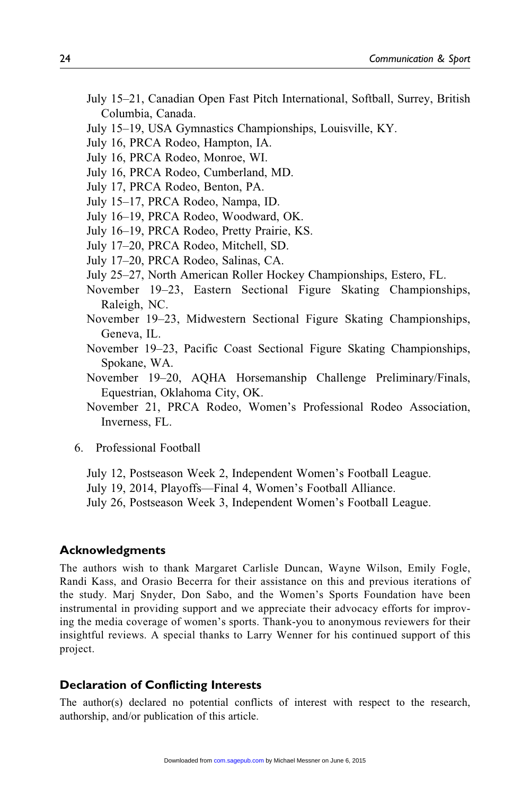- July 15–21, Canadian Open Fast Pitch International, Softball, Surrey, British Columbia, Canada.
- July 15–19, USA Gymnastics Championships, Louisville, KY.
- July 16, PRCA Rodeo, Hampton, IA.
- July 16, PRCA Rodeo, Monroe, WI.
- July 16, PRCA Rodeo, Cumberland, MD.
- July 17, PRCA Rodeo, Benton, PA.
- July 15–17, PRCA Rodeo, Nampa, ID.
- July 16–19, PRCA Rodeo, Woodward, OK.
- July 16–19, PRCA Rodeo, Pretty Prairie, KS.
- July 17–20, PRCA Rodeo, Mitchell, SD.
- July 17–20, PRCA Rodeo, Salinas, CA.
- July 25–27, North American Roller Hockey Championships, Estero, FL.
- November 19–23, Eastern Sectional Figure Skating Championships, Raleigh, NC.
- November 19–23, Midwestern Sectional Figure Skating Championships, Geneva, IL.
- November 19–23, Pacific Coast Sectional Figure Skating Championships, Spokane, WA.
- November 19–20, AQHA Horsemanship Challenge Preliminary/Finals, Equestrian, Oklahoma City, OK.
- November 21, PRCA Rodeo, Women's Professional Rodeo Association, Inverness, FL.
- 6. Professional Football
	- July 12, Postseason Week 2, Independent Women's Football League. July 19, 2014, Playoffs—Final 4, Women's Football Alliance. July 26, Postseason Week 3, Independent Women's Football League.

#### Acknowledgments

The authors wish to thank Margaret Carlisle Duncan, Wayne Wilson, Emily Fogle, Randi Kass, and Orasio Becerra for their assistance on this and previous iterations of the study. Marj Snyder, Don Sabo, and the Women's Sports Foundation have been instrumental in providing support and we appreciate their advocacy efforts for improving the media coverage of women's sports. Thank-you to anonymous reviewers for their insightful reviews. A special thanks to Larry Wenner for his continued support of this project.

#### Declaration of Conflicting Interests

The author(s) declared no potential conflicts of interest with respect to the research, authorship, and/or publication of this article.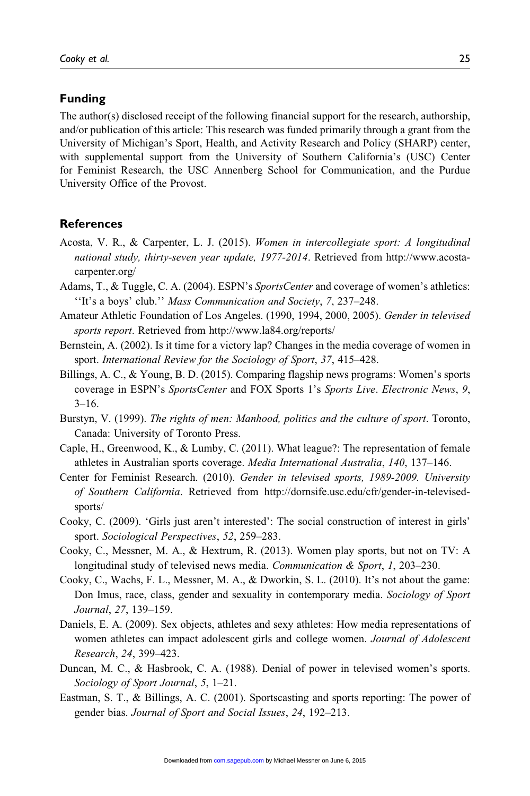#### Funding

The author(s) disclosed receipt of the following financial support for the research, authorship, and/or publication of this article: This research was funded primarily through a grant from the University of Michigan's Sport, Health, and Activity Research and Policy (SHARP) center, with supplemental support from the University of Southern California's (USC) Center for Feminist Research, the USC Annenberg School for Communication, and the Purdue University Office of the Provost.

#### References

- Acosta, V. R., & Carpenter, L. J. (2015). Women in intercollegiate sport: A longitudinal national study, thirty-seven year update, 1977-2014. Retrieved from [http://www.acosta](http://www.acostacarpenter.org/)[carpenter.org/](http://www.acostacarpenter.org/)
- Adams, T., & Tuggle, C. A. (2004). ESPN's SportsCenter and coverage of women's athletics: ''It's a boys' club.'' Mass Communication and Society, 7, 237–248.
- Amateur Athletic Foundation of Los Angeles. (1990, 1994, 2000, 2005). Gender in televised sports report. Retrieved from<http://www.la84.org/reports/>
- Bernstein, A. (2002). Is it time for a victory lap? Changes in the media coverage of women in sport. International Review for the Sociology of Sport, 37, 415–428.
- Billings, A. C., & Young, B. D. (2015). Comparing flagship news programs: Women's sports coverage in ESPN's SportsCenter and FOX Sports 1's Sports Live. Electronic News, 9,  $3-16$ .
- Burstyn, V. (1999). The rights of men: Manhood, politics and the culture of sport. Toronto, Canada: University of Toronto Press.
- Caple, H., Greenwood, K., & Lumby, C. (2011). What league?: The representation of female athletes in Australian sports coverage. Media International Australia, 140, 137–146.
- Center for Feminist Research. (2010). Gender in televised sports, 1989-2009. University of Southern California. Retrieved from [http://dornsife.usc.edu/cfr/gender-in-televised](http://dornsife.usc.edu/cfr/gender-in-televised-sports/)[sports/](http://dornsife.usc.edu/cfr/gender-in-televised-sports/)
- Cooky, C. (2009). 'Girls just aren't interested': The social construction of interest in girls' sport. Sociological Perspectives, 52, 259–283.
- Cooky, C., Messner, M. A., & Hextrum, R. (2013). Women play sports, but not on TV: A longitudinal study of televised news media. Communication & Sport, 1, 203–230.
- Cooky, C., Wachs, F. L., Messner, M. A., & Dworkin, S. L. (2010). It's not about the game: Don Imus, race, class, gender and sexuality in contemporary media. Sociology of Sport Journal, 27, 139–159.
- Daniels, E. A. (2009). Sex objects, athletes and sexy athletes: How media representations of women athletes can impact adolescent girls and college women. Journal of Adolescent Research, 24, 399–423.
- Duncan, M. C., & Hasbrook, C. A. (1988). Denial of power in televised women's sports. Sociology of Sport Journal, 5, 1–21.
- Eastman, S. T., & Billings, A. C. (2001). Sportscasting and sports reporting: The power of gender bias. Journal of Sport and Social Issues, 24, 192–213.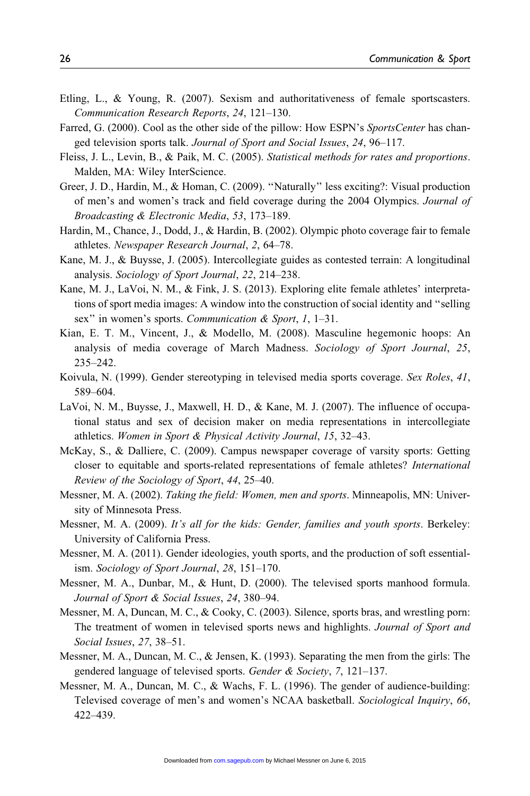- Etling, L., & Young, R. (2007). Sexism and authoritativeness of female sportscasters. Communication Research Reports, 24, 121–130.
- Farred, G. (2000). Cool as the other side of the pillow: How ESPN's SportsCenter has changed television sports talk. Journal of Sport and Social Issues, 24, 96-117.
- Fleiss, J. L., Levin, B., & Paik, M. C. (2005). Statistical methods for rates and proportions. Malden, MA: Wiley InterScience.
- Greer, J. D., Hardin, M., & Homan, C. (2009). ''Naturally'' less exciting?: Visual production of men's and women's track and field coverage during the 2004 Olympics. Journal of Broadcasting & Electronic Media, 53, 173–189.
- Hardin, M., Chance, J., Dodd, J., & Hardin, B. (2002). Olympic photo coverage fair to female athletes. Newspaper Research Journal, 2, 64–78.
- Kane, M. J., & Buysse, J. (2005). Intercollegiate guides as contested terrain: A longitudinal analysis. Sociology of Sport Journal, 22, 214–238.
- Kane, M. J., LaVoi, N. M., & Fink, J. S. (2013). Exploring elite female athletes' interpretations of sport media images: A window into the construction of social identity and ''selling sex" in women's sports. Communication & Sport, 1, 1-31.
- Kian, E. T. M., Vincent, J., & Modello, M. (2008). Masculine hegemonic hoops: An analysis of media coverage of March Madness. Sociology of Sport Journal, 25, 235–242.
- Koivula, N. (1999). Gender stereotyping in televised media sports coverage. Sex Roles, 41, 589–604.
- LaVoi, N. M., Buysse, J., Maxwell, H. D., & Kane, M. J. (2007). The influence of occupational status and sex of decision maker on media representations in intercollegiate athletics. Women in Sport & Physical Activity Journal, 15, 32–43.
- McKay, S., & Dalliere, C. (2009). Campus newspaper coverage of varsity sports: Getting closer to equitable and sports-related representations of female athletes? International Review of the Sociology of Sport, 44, 25–40.
- Messner, M. A. (2002). Taking the field: Women, men and sports. Minneapolis, MN: University of Minnesota Press.
- Messner, M. A. (2009). It's all for the kids: Gender, families and youth sports. Berkeley: University of California Press.
- Messner, M. A. (2011). Gender ideologies, youth sports, and the production of soft essentialism. Sociology of Sport Journal, 28, 151–170.
- Messner, M. A., Dunbar, M., & Hunt, D. (2000). The televised sports manhood formula. Journal of Sport & Social Issues, 24, 380–94.
- Messner, M. A, Duncan, M. C., & Cooky, C. (2003). Silence, sports bras, and wrestling porn: The treatment of women in televised sports news and highlights. Journal of Sport and Social Issues, 27, 38–51.
- Messner, M. A., Duncan, M. C., & Jensen, K. (1993). Separating the men from the girls: The gendered language of televised sports. Gender & Society, 7, 121–137.
- Messner, M. A., Duncan, M. C., & Wachs, F. L. (1996). The gender of audience-building: Televised coverage of men's and women's NCAA basketball. Sociological Inquiry, 66, 422–439.